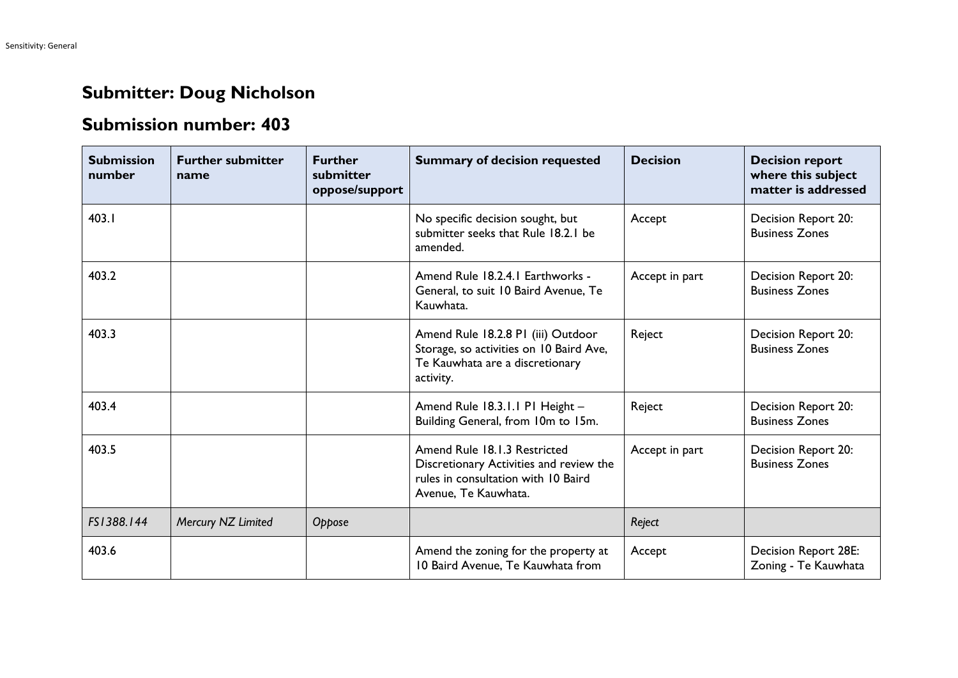## **Submitter: Doug Nicholson**

## **Submission number: 403**

| <b>Submission</b><br>number | <b>Further submitter</b><br>name | <b>Further</b><br>submitter<br>oppose/support | <b>Summary of decision requested</b>                                                                                                   | <b>Decision</b> | <b>Decision report</b><br>where this subject<br>matter is addressed |
|-----------------------------|----------------------------------|-----------------------------------------------|----------------------------------------------------------------------------------------------------------------------------------------|-----------------|---------------------------------------------------------------------|
| 403.1                       |                                  |                                               | No specific decision sought, but<br>submitter seeks that Rule 18.2.1 be<br>amended.                                                    | Accept          | Decision Report 20:<br><b>Business Zones</b>                        |
| 403.2                       |                                  |                                               | Amend Rule 18.2.4.1 Earthworks -<br>General, to suit 10 Baird Avenue, Te<br>Kauwhata.                                                  | Accept in part  | Decision Report 20:<br><b>Business Zones</b>                        |
| 403.3                       |                                  |                                               | Amend Rule 18.2.8 PI (iii) Outdoor<br>Storage, so activities on 10 Baird Ave,<br>Te Kauwhata are a discretionary<br>activity.          | Reject          | Decision Report 20:<br><b>Business Zones</b>                        |
| 403.4                       |                                  |                                               | Amend Rule 18.3.1.1 P1 Height -<br>Building General, from 10m to 15m.                                                                  | Reject          | Decision Report 20:<br><b>Business Zones</b>                        |
| 403.5                       |                                  |                                               | Amend Rule 18.1.3 Restricted<br>Discretionary Activities and review the<br>rules in consultation with 10 Baird<br>Avenue, Te Kauwhata. | Accept in part  | Decision Report 20:<br><b>Business Zones</b>                        |
| FS1388.144                  | Mercury NZ Limited               | Oppose                                        |                                                                                                                                        | Reject          |                                                                     |
| 403.6                       |                                  |                                               | Amend the zoning for the property at<br>10 Baird Avenue, Te Kauwhata from                                                              | Accept          | Decision Report 28E:<br>Zoning - Te Kauwhata                        |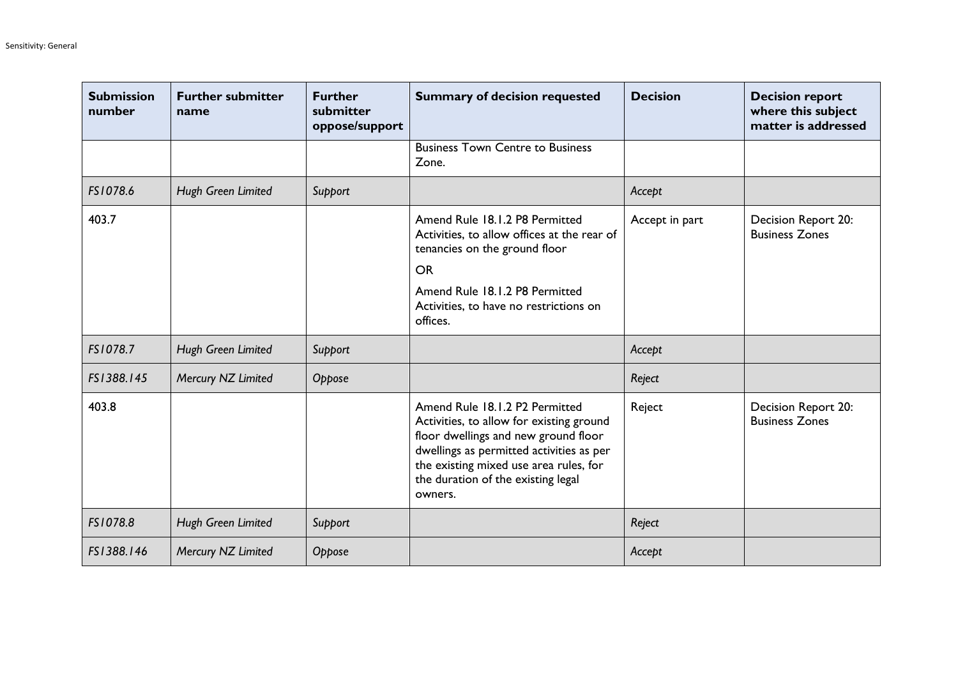| <b>Submission</b><br>number | <b>Further submitter</b><br>name | <b>Further</b><br>submitter<br>oppose/support | <b>Summary of decision requested</b>                                                                                                                                                                                                                      | <b>Decision</b> | <b>Decision report</b><br>where this subject<br>matter is addressed |
|-----------------------------|----------------------------------|-----------------------------------------------|-----------------------------------------------------------------------------------------------------------------------------------------------------------------------------------------------------------------------------------------------------------|-----------------|---------------------------------------------------------------------|
|                             |                                  |                                               | <b>Business Town Centre to Business</b><br>Zone.                                                                                                                                                                                                          |                 |                                                                     |
| FS1078.6                    | Hugh Green Limited               | Support                                       |                                                                                                                                                                                                                                                           | Accept          |                                                                     |
| 403.7                       |                                  |                                               | Amend Rule 18.1.2 P8 Permitted<br>Activities, to allow offices at the rear of<br>tenancies on the ground floor<br><b>OR</b><br>Amend Rule 18.1.2 P8 Permitted<br>Activities, to have no restrictions on<br>offices.                                       | Accept in part  | Decision Report 20:<br><b>Business Zones</b>                        |
| FS1078.7                    | Hugh Green Limited               | Support                                       |                                                                                                                                                                                                                                                           | Accept          |                                                                     |
| FS1388.145                  | Mercury NZ Limited               | Oppose                                        |                                                                                                                                                                                                                                                           | Reject          |                                                                     |
| 403.8                       |                                  |                                               | Amend Rule 18.1.2 P2 Permitted<br>Activities, to allow for existing ground<br>floor dwellings and new ground floor<br>dwellings as permitted activities as per<br>the existing mixed use area rules, for<br>the duration of the existing legal<br>owners. | Reject          | Decision Report 20:<br><b>Business Zones</b>                        |
| FS1078.8                    | Hugh Green Limited               | Support                                       |                                                                                                                                                                                                                                                           | Reject          |                                                                     |
| FS1388.146                  | Mercury NZ Limited               | Oppose                                        |                                                                                                                                                                                                                                                           | Accept          |                                                                     |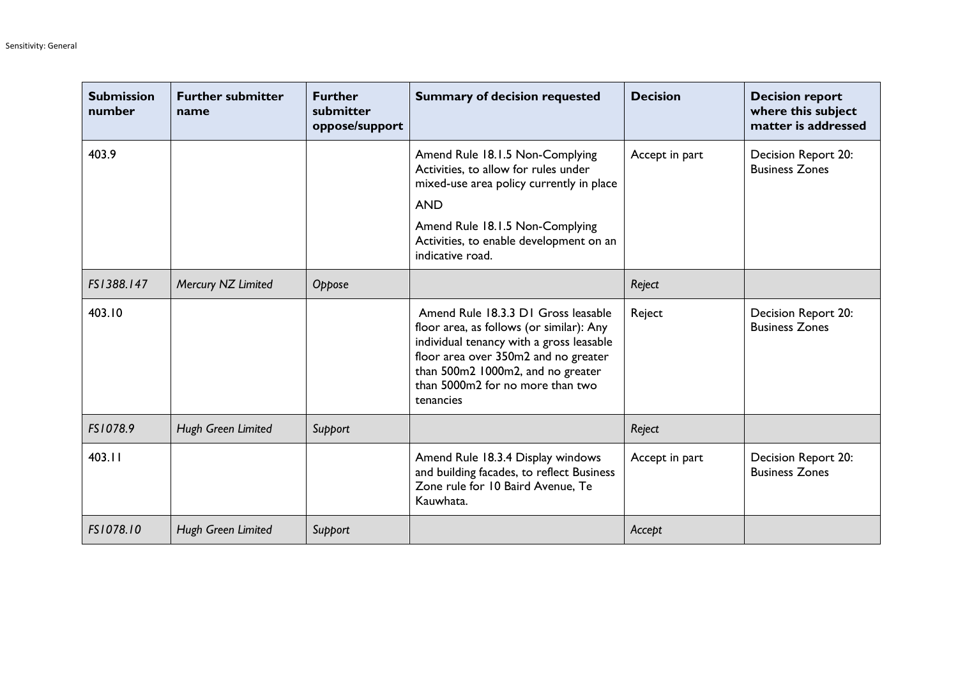| <b>Submission</b><br>number | <b>Further submitter</b><br>name | <b>Further</b><br>submitter<br>oppose/support | <b>Summary of decision requested</b>                                                                                                                                                                                                                      | <b>Decision</b> | <b>Decision report</b><br>where this subject<br>matter is addressed |
|-----------------------------|----------------------------------|-----------------------------------------------|-----------------------------------------------------------------------------------------------------------------------------------------------------------------------------------------------------------------------------------------------------------|-----------------|---------------------------------------------------------------------|
| 403.9                       |                                  |                                               | Amend Rule 18.1.5 Non-Complying<br>Activities, to allow for rules under<br>mixed-use area policy currently in place<br><b>AND</b><br>Amend Rule 18.1.5 Non-Complying<br>Activities, to enable development on an<br>indicative road.                       | Accept in part  | Decision Report 20:<br><b>Business Zones</b>                        |
| FS1388.147                  | Mercury NZ Limited               | Oppose                                        |                                                                                                                                                                                                                                                           | Reject          |                                                                     |
| 403.10                      |                                  |                                               | Amend Rule 18.3.3 D1 Gross leasable<br>floor area, as follows (or similar): Any<br>individual tenancy with a gross leasable<br>floor area over 350m2 and no greater<br>than 500m2 1000m2, and no greater<br>than 5000m2 for no more than two<br>tenancies | Reject          | Decision Report 20:<br><b>Business Zones</b>                        |
| FS1078.9                    | Hugh Green Limited               | Support                                       |                                                                                                                                                                                                                                                           | Reject          |                                                                     |
| 403.11                      |                                  |                                               | Amend Rule 18.3.4 Display windows<br>and building facades, to reflect Business<br>Zone rule for 10 Baird Avenue, Te<br>Kauwhata.                                                                                                                          | Accept in part  | Decision Report 20:<br><b>Business Zones</b>                        |
| FS1078.10                   | Hugh Green Limited               | Support                                       |                                                                                                                                                                                                                                                           | Accept          |                                                                     |